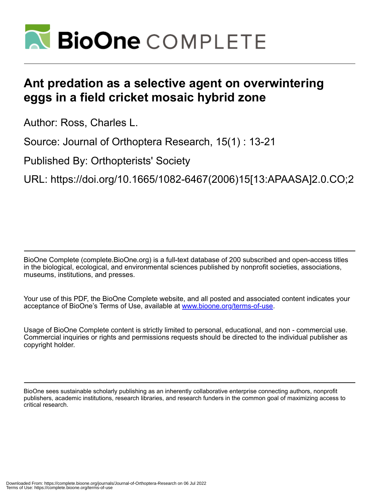

# **Ant predation as a selective agent on overwintering eggs in a field cricket mosaic hybrid zone**

Author: Ross, Charles L.

Source: Journal of Orthoptera Research, 15(1) : 13-21

Published By: Orthopterists' Society

URL: https://doi.org/10.1665/1082-6467(2006)15[13:APAASA]2.0.CO;2

BioOne Complete (complete.BioOne.org) is a full-text database of 200 subscribed and open-access titles in the biological, ecological, and environmental sciences published by nonprofit societies, associations, museums, institutions, and presses.

Your use of this PDF, the BioOne Complete website, and all posted and associated content indicates your acceptance of BioOne's Terms of Use, available at www.bioone.org/terms-of-use.

Usage of BioOne Complete content is strictly limited to personal, educational, and non - commercial use. Commercial inquiries or rights and permissions requests should be directed to the individual publisher as copyright holder.

BioOne sees sustainable scholarly publishing as an inherently collaborative enterprise connecting authors, nonprofit publishers, academic institutions, research libraries, and research funders in the common goal of maximizing access to critical research.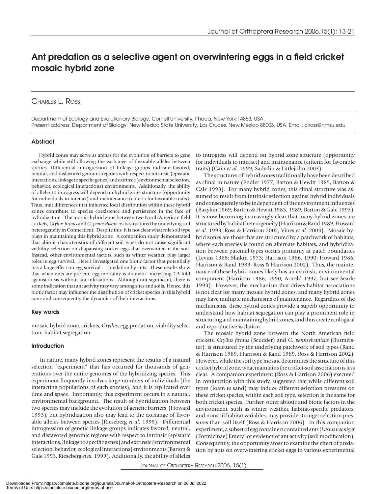## Ant predation as a selective agent on overwintering eggs in a field cricket mosaic hybrid zone

### CHARLES L. ROSS

Department of Ecology and Evolutionary Biology, Cornell University, Ithaca, New York 14853, USA. Present address: Department of Biology, New Mexico State University, Las Cruces, New Mexico 88003, USA. Email: clross@nmsu.edu

#### Abstract

Hybrid zones may serve as arenas for the evolution of barriers to gene exchange while still allowing the exchange of favorable alleles between species. Differential introgression of linkage groups indicate favored, neutral, and disfavored genomic regions with respect to intrinsic (epistatic interactions, linkage to specific genes) and extrinsic (environmental selection, behavior, ecological interactions) environments. Additionally, the ability of alleles to introgress will depend on hybrid zone structure (opportunity for individuals to interact) and maintenance (criteria for favorable traits). Thus, trait differences that influence local distribution within these hybrid zones contribute to species coexistence and persistence in the face of hybridization. The mosaic hybrid zone between two North American field crickets, *Gryllus firmus* and *G. pennsylvanicus*, is structured by underlying soil heterogeneity in Connecticut. Despite this, it is not clear what role soil type plays in maintaining this hybrid zone. A companion study demonstrated that abiotic characteristics of different soil types do not cause significant viability selection on diapausing cricket eggs that overwinter in the soil. Instead, other environmental factors, such as winter weather, play larger roles in egg survival. Here I investigated one biotic factor that potentially has a large effect on egg survival — predation by ants. These results show that when ants are present, egg mortality is dramatic, increasing 2.5 fold against areas without ant infestations. Although not significant, there is some indication that ant activity may vary among sites and soils. Hence, this biotic factor may influence the distribution of cricket species in this hybrid zone and consequently the dynamics of their interactions.

#### Key words

mosaic hybrid zone, crickets, *Gryllus*, egg predation, viability selection, habitat segregation

#### **Introduction**

 In nature, many hybrid zones represent the results of a natural selection "experiment" that has occurred for thousands of generations over the entire genomes of the hybridizing species. This experiment frequently involves large numbers of individuals (the interacting populations of each species), and it is replicated over time and space. Importantly, this experiment occurs in a natural, environmental background. The result of hybridization between two species may include the evolution of genetic barriers (Howard 1993), but hybridization also may lead to the exchange of favorable alleles between species (Rieseberg *et al.* 1999). Differential introgression of genetic linkage groups indicates favored, neutral, and disfavored genomic regions with respect to intrinsic (epistatic interactions, linkage to specific genes) and extrinsic (environmental selection, behavior, ecological interactions) environments (Barton & Gale 1993, Rieseberg *et al.* 1999). Additionally, the ability of alleles

to introgress will depend on hybrid zone structure (opportunity for individuals to interact) and maintenance (criteria for favorable traits) (Cain *et al.* 1999, Sadedin & Littlejohn 2003).

 The structures of hybrid zones traditionally have been described as clinal in nature (Endler 1977, Barton & Hewitt 1985, Barton & Gale 1993). For many hybrid zones, this clinal structure was assumed to result from intrinsic selection against hybrid individuals and consequently to be independent of the environment influences (Bazykin 1969; Barton & Hewitt 1985, 1989; Barton & Gale 1993). It is now becoming increasingly clear that many hybrid zones are structured by habitat heterogeneity (Harrison & Rand 1989, Howard *et al.* 1993, Ross & Harrison 2002, Vines *et al.* 2003). Mosaic hybrid zones are those that are structured by a patchwork of habitats, where each species is found on alternate habitats, and hybridization between parental types occurs primarily at patch boundaries (Levins 1968; Slatkin 1973; Harrison 1986, 1990; Howard 1986; Harrison & Rand 1989; Ross & Harrison 2002). Thus, the maintenance of these hybrid zones likely has an extrinsic, environmental component (Harrison 1986, 1990; Arnold 1997, but see Searle 1993). However, the mechanism that drives habitat associations is not clear for many mosaic hybrid zones, and many hybrid zones may have multiple mechanisms of maintenance. Regardless of the mechanisms, these hybrid zones provide a superb opportunity to understand how habitat segregation can play a prominent role in structuring and maintaining hybrid zones, and thus create ecological and reproductive isolation.

 The mosaic hybrid zone between the North American field crickets, *Gryllus firmus* (Scudder) and *G. pennsylvanicus* (Burmeister), is structured by the underlying patchwork of soil types (Rand & Harrison 1989, Harrison & Rand 1989, Ross & Harrison 2002). However, while the soil type mosaic determines the structure of this cricket hybrid zone, what maintains the cricket-soil association is less clear. A companion experiment (Ross & Harrison 2006) executed in conjunction with this study, suggested that while different soil types (loam *vs* sand) may induce different selection pressures on these cricket species, within each soil type, selection is the same for both cricket species. Further, other abiotic and biotic factors in the environment, such as winter weather, habitat-specific predators, and nonsoil habitat variables, may provide stronger selection pressures than soil itself (Ross & Harrison 2006). In this companion experiment, a subset of egg containers contained ant*s* [*Lasius neoniger*  (Formicinae) Emery] or evidence of ant activity (soil modification). Consequently, the opportunity arose to examine the effect of predation by ants on overwintering cricket eggs in various experimental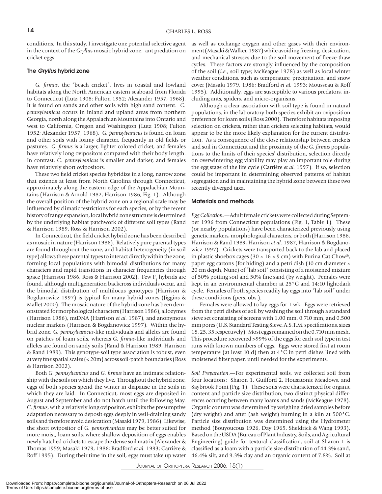conditions. In this study, I investigate one potential selective agent in the context of the *Gryllu*s mosaic hybrid zone: ant predation on cricket eggs.

#### The Gryllus hybrid zone

 *G. firmus*, the "beach cricket", lives in coastal and lowland habitats along the North American eastern seaboard from Florida to Connecticut (Lutz 1908; Fulton 1952; Alexander 1957, 1968). It is found on sands and other soils with high sand content. *G. pennsylvanicus* occurs in inland and upland areas from northern Georgia, north along the Appalachian Mountains into Ontario and west to California, Oregon and Washington (Lutz 1908; Fulton 1952; Alexander 1957, 1968). *G. pennsylvanicus* is found on loam and other soils with loamy character, frequently in old fields or pastures. *G. firmus* is a larger, lighter colored cricket, and females have relatively long ovipositors compared with their body length. In contrast, *G. pennsylvanicus* is smaller and darker, and females have relatively short ovipositors.

 These two field cricket species hybridize in a long, narrow zone that extends at least from North Carolina through Connecticut, approximately along the eastern edge of the Appalachian Mountains (Harrison & Arnold 1982, Harrison 1986, Fig. 1). Although the overall position of the hybrid zone on a regional scale may be influenced by climatic restrictions for each species, or by the recent history of range expansion, local hybrid zone structure is determined by the underlying habitat patchwork of different soil types (Rand & Harrison 1989, Ross & Harrison 2002).

 In Connecticut, the field cricket hybrid zone has been described as mosaic in nature (Harrison 1986). Relatively pure parental types are found throughout the zone, and habitat heterogeneity (in soil type) allows these parental types to interact directly within the zone, forming local populations with bimodal distributions for many characters and rapid transitions in character frequencies through space (Harrison 1986, Ross & Harrison 2002). Few  $F_1$  hybrids are found, although multigeneration backcross individuals occur, and the bimodal distribution of multilocus genotypes (Harrison & Bogdanowicz 1997) is typical for many hybrid zones (Jiggins & Mallet 2000). The mosaic nature of the hybrid zone has been demonstrated for morphological characters (Harrison 1986), allozymes (Harrison 1986), mtDNA (Harrison *et al.* 1987), and anonymous nuclear markers (Harrison & Bogdanowicz 1997). Within the hybrid zone, *G. pennsylvanicus*-like individuals and alleles are found on patches of loam soils, whereas *G. firmus*-like individuals and alleles are found on sandy soils (Rand & Harrison 1989, Harrison & Rand 1989). This genotype-soil type association is robust, even at very fine spatial scales (< 20m) across soil-patch boundaries (Ross & Harrison 2002).

 Both *G. pennsylvanicus* and *G. firmus* have an intimate relationship with the soils on which they live. Throughout the hybrid zone, eggs of both species spend the winter in diapause in the soils in which they are laid. In Connecticut, most eggs are deposited in August and September and do not hatch until the following May. *G. firmus*, with a relatively long ovipositor, exhibits the presumptive adaptation necessary to deposit eggs deeply in well-draining sandy soils and therefore avoid desiccation (Masaki 1979, 1986). Likewise, the short ovipositor of *G. pennsylvanicus* may be better suited for more moist, loam soils, where shallow deposition of eggs enables newly hatched crickets to escape the dense soil matrix (Alexander & Thomas 1959; Masaki 1979, 1986; Bradford *et al.* 1993; Carrière & Roff 1995). During their time in the soil, eggs must take up water as well as exchange oxygen and other gases with their environment (Masaki & Walker, 1987) while avoiding freezing, desiccation, and mechanical stresses due to the soil movement of freeze-thaw cycles. These factors are strongly influenced by the composition of the soil (*i.e.*, soil type; McKeague 1978) as well as local winter weather conditions, such as temperature, precipitation, and snow cover (Masaki 1979, 1986; Bradford *et al.* 1993; Mousseau & Roff 1995). Additionally, eggs are susceptible to various predators, including ants, spiders, and micro-organisms.

 Although a clear association with soil type is found in natural populations, in the laboratory both species exhibit an oviposition preference for loam soils (Ross 2000). Therefore habitats imposing selection on crickets, rather than crickets selecting habitats, would appear to be the more likely explanation for the current distribution. As a consequence of the close relationship between crickets and soil in Connecticut and the proximity of the *G. firmus* populations to the limits of their species' distribution, selection directly on overwintering egg viability may play an important role during the egg stage of the life cycle (Carrière *et al.* 1997). If so, selection could be important in determining observed patterns of habitat segregation and in maintaining the hybrid zone between these two recently diverged taxa.

#### Materials and methods

*Egg Collection*.—Adult female crickets were collected during September 1996 from Connecticut populations (Fig. 1, Table 1). These (or nearby populations) have been characterized previously using genetic markers, morphological characters, or both (Harrison 1986, Harrison & Rand 1989, Harrison *et al.* 1987, Harrison & Bogdanowicz 1997). Crickets were transported back to the lab and placed in plastic shoebox cages (30  $\times$  16  $\times$  9 cm) with Purina Cat Chow®, paper egg cartons (for hiding) and a petri dish (10 cm diameter × 20 cm depth, Nunc) of "lab soil" consisting of a moistened mixture of 50% potting soil and 50% fine sand (by weight). Females were kept in an environmental chamber at 25°C and 14:10 light:dark cycle. Females of both species readily lay eggs into "lab soil" under these conditions (pers. obs.).

 Females were allowed to lay eggs for 1 wk. Eggs were retrieved from the petri dishes of soil by washing the soil through a standard sieve set consisting of screens with 1.00 mm, 0.710 mm, and 0.500 mm pores (U.S. Standard Testing Sieve, A.S.T.M. specifications, sizes 18, 25, 35 respectively). Most eggs remained on the 0.710 mm mesh. This procedure recovered >99% of the eggs for each soil type in test runs with known numbers of eggs. Eggs were stored first at room temperature (at least 10 d) then at 4°C in petri dishes lined with moistened filter paper, until needed for the experiments.

*Soil Preparation*.—For experimental soils, we collected soil from four locations: Sharon 1, Guilford 2, Housatonic Meadows, and Saybrook Point (Fig. 1). These soils were characterized for organic content and particle size distribution, two distinct physical differences occuring between many loams and sands (McKeague 1978). Organic content was determined by weighing dried samples before (dry weight) and after (ash weight) burning in a kiln at 500°C. Particle size distribution was determined using the Hydrometer method (Bouyoucous 1926, Day 1965, Sheldrick & Wang 1993). Based on the USDA (Bureau of Plant Industry, Soils, and Agricultural Engineering) guide for textural classification, soil at Sharon 1 is classified as a loam with a particle size distribution of 44.3% sand, 46.4% silt, and 9.3% clay and an organic content of 7.8%. Soil at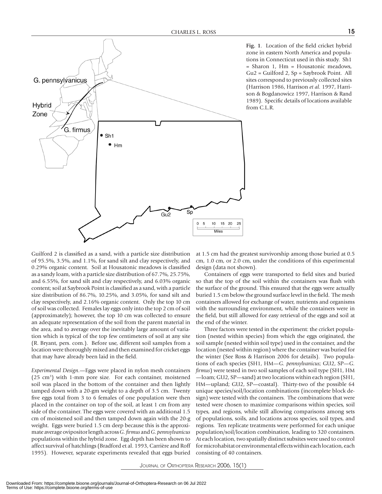

**Fig. 1**. Location of the field cricket hybrid zone in eastern North America and populations in Connecticut used in this study. Sh1 = Sharon 1, Hm = Housatonic meadows, Gu2 = Guilford 2, Sp = Saybrook Point. All sites correspond to previously collected sites (Harrison 1986, Harrison *et al.* 1997, Harrison & Bogdanowicz 1997, Harrison & Rand 1989). Specific details of locations available from C.L.R.

Guilford 2 is classified as a sand, with a particle size distribution of 95.5%, 3.5%, and 1.1%, for sand silt and clay respectively, and 0.29% organic content. Soil at Housatonic meadows is classified as a sandy loam, with a particle size distribution of 67.7%, 25.75%, and 6.55%, for sand silt and clay respectively, and 6.03% organic content; soil at Saybrook Point is classified as a sand, with a particle size distribution of 86.7%, 10.25%, and 3.05%, for sand silt and clay respectively, and 2.16% organic content. Only the top 10 cm of soil was collected. Females lay eggs only into the top 2 cm of soil (approximately); however, the top 10 cm was collected to ensure an adequate representation of the soil from the parent material in the area, and to average over the inevitably large amount of variation which is typical of the top few centimeters of soil at any site (R. Bryant, pers. com.). Before use, different soil samples from a location were thoroughly mixed and then examined for cricket eggs that may have already been laid in the field.

*Experimental Design*.—Eggs were placed in nylon mesh containers (25 cm<sup>3</sup>) with 1-mm pore size. For each container, moistened soil was placed in the bottom of the container and then lightly tamped down with a 20-gm weight to a depth of 3.5 cm. Twenty five eggs total from 3 to 6 females of one population were then placed in the container on top of the soil, at least 1 cm from any side of the container. The eggs were covered with an additional 1.5 cm of moistened soil and then tamped down again with the 20-g weight. Eggs were buried 1.5 cm deep because this is the approximate average ovipositor length across *G. firmus* and *G. pennsylvanicus* populations within the hybrid zone. Egg depth has been shown to affect survival of hatchlings (Bradford et al. 1993, Carrière and Roff 1995). However, separate experiments revealed that eggs buried

at 1.5 cm had the greatest survivorship among those buried at 0.5 cm, 1.0 cm, or 2.0 cm, under the conditions of this experimental design (data not shown).

 Containers of eggs were transported to field sites and buried so that the top of the soil within the containers was flush with the surface of the ground. This ensured that the eggs were actually buried 1.5 cm below the ground surface level in the field. The mesh containers allowed for exchange of water, nutrients and organisms with the surrounding environment, while the containers were in the field, but still allowed for easy retrieval of the eggs and soil at the end of the winter.

 Three factors were tested in the experiment: the cricket population (nested within species) from which the eggs originated, the soil sample (nested within soil type) used in the container, and the location (nested within region) where the container was buried for the winter (See Ross & Harrison 2006 for details). Two populations of each species (SH1, HM—*G. pennsylvanicus*; GU2, SP—*G. firmus*) were tested in two soil samples of each soil type (SH1, HM —loam; GU2, SP—sand) at two locations within each region (SH1, HM—upland; GU2, SP—coastal). Thirty-two of the possible 64 unique species/soil/location combinations (incomplete block design) were tested with the containers. The combinations that were tested were chosen to maximize comparisons within species, soil types, and regions, while still allowing comparisons among sets of populations, soils, and locations across species, soil types, and regions. Ten replicate treatments were performed for each unique population/soil/location combination, leading to 320 containers. At each location, two spatially distinct subsites were used to control for microhabitat or environmental effects within each location, each consisting of 40 containers.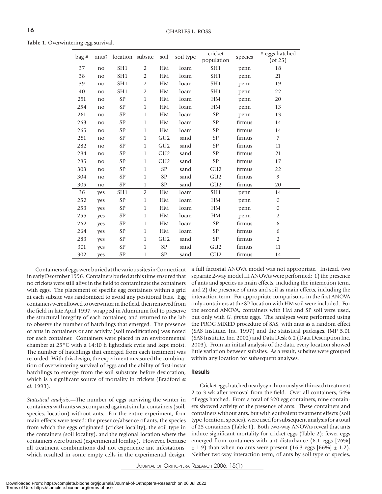**Table 1.** Overwintering egg survival.

| $bag \#$ | ants? | location subsite |                | soil            | soil type | cricket<br>population | species | # eggs hatched<br>$($ of 25 $)$ |
|----------|-------|------------------|----------------|-----------------|-----------|-----------------------|---------|---------------------------------|
| 37       | no    | SH <sub>1</sub>  | $\overline{2}$ | <b>HM</b>       | loam      | SH <sub>1</sub>       | penn    | 18                              |
| 38       | no    | SH <sub>1</sub>  | $\overline{2}$ | <b>HM</b>       | loam      | SH <sub>1</sub>       | penn    | 21                              |
| 39       | no    | SH <sub>1</sub>  | $\overline{2}$ | <b>HM</b>       | loam      | SH <sub>1</sub>       | penn    | 19                              |
| 40       | no    | SH <sub>1</sub>  | $\overline{2}$ | HM              | loam      | SH <sub>1</sub>       | penn    | 22                              |
| 251      | no    | <b>SP</b>        | $\mathbf{1}$   | HM              | loam      | HM                    | penn    | 20                              |
| 254      | no    | <b>SP</b>        | $\mathbf{1}$   | <b>HM</b>       | loam      | <b>HM</b>             | penn    | 13                              |
| 261      | no    | <b>SP</b>        | 1              | HM              | loam      | <b>SP</b>             | penn    | 13                              |
| 263      | no    | <b>SP</b>        | $\mathbf{1}$   | <b>HM</b>       | loam      | <b>SP</b>             | firmus  | 14                              |
| 265      | no    | <b>SP</b>        | $\mathbf{1}$   | HM              | loam      | <b>SP</b>             | firmus  | 14                              |
| 281      | no    | <b>SP</b>        | $\mathbf{1}$   | GU <sub>2</sub> | sand      | <b>SP</b>             | firmus  | $\overline{7}$                  |
| 282      | no    | <b>SP</b>        | $\mathbf{1}$   | GU <sub>2</sub> | sand      | <b>SP</b>             | firmus  | 11                              |
| 284      | no    | <b>SP</b>        | 1              | GU <sub>2</sub> | sand      | <b>SP</b>             | firmus  | 21                              |
| 285      | no    | <b>SP</b>        | $\mathbf{1}$   | GU <sub>2</sub> | sand      | <b>SP</b>             | firmus  | 17                              |
| 303      | no    | <b>SP</b>        | $\mathbf{1}$   | <b>SP</b>       | sand      | GU <sub>2</sub>       | firmus  | 22                              |
| 304      | no    | <b>SP</b>        | $\mathbf{1}$   | <b>SP</b>       | sand      | GU <sub>2</sub>       | firmus  | 9                               |
| 305      | no    | <b>SP</b>        | $\mathbf{1}$   | <b>SP</b>       | sand      | GU <sub>2</sub>       | firmus  | 20                              |
| 36       | yes   | SH <sub>1</sub>  | $\overline{2}$ | HM              | loam      | SH <sub>1</sub>       | penn    | 14                              |
| 252      | yes   | <b>SP</b>        | $\mathbf{1}$   | HM              | loam      | <b>HM</b>             | penn    | $\boldsymbol{0}$                |
| 253      | yes   | <b>SP</b>        | $\mathbf{1}$   | HM              | loam      | <b>HM</b>             | penn    | $\mathbf{0}$                    |
| 255      | yes   | <b>SP</b>        | $\mathbf{1}$   | HM              | loam      | HM                    | penn    | $\overline{2}$                  |
| 262      | yes   | <b>SP</b>        | $\mathbf{1}$   | <b>HM</b>       | loam      | <b>SP</b>             | firmus  | 6                               |
| 264      | yes   | <b>SP</b>        | 1              | <b>HM</b>       | loam      | <b>SP</b>             | firmus  | 6                               |
| 283      | yes   | <b>SP</b>        | $\mathbf{1}$   | GU <sub>2</sub> | sand      | <b>SP</b>             | firmus  | $\overline{2}$                  |
| 301      | yes   | SP               | $\mathbf{1}$   | <b>SP</b>       | sand      | GU <sub>2</sub>       | firmus  | 11                              |
| 302      | yes   | <b>SP</b>        | 1              | <b>SP</b>       | sand      | GU <sub>2</sub>       | firmus  | 14                              |

 Containers of eggs were buried at the various sites in Connecticut in early December 1996. Containers buried at this time ensured that no crickets were still alive in the field to contaminate the containers with eggs. The placement of specific egg containers within a grid at each subsite was randomized to avoid any positional bias. Egg containers were allowed to overwinter in the field, then removed from the field in late April 1997, wrapped in Aluminum foil to preserve the structural integrity of each container, and returned to the lab to observe the number of hatchlings that emerged. The presence of ants in containers or ant activity (soil modification) was noted for each container. Containers were placed in an environmental chamber at 25°C with a 14:10 h light:dark cycle and kept moist. The number of hatchlings that emerged from each treatment was recorded. With this design, the experiment measured the combination of overwintering survival of eggs and the ability of first-instar hatchlings to emerge from the soil substrate before desiccation, which is a significant source of mortality in crickets (Bradford *et al.* 1993).

*Statistical analysis*.—The number of eggs surviving the winter in containers with ants was compared against similar containers (soil, species, location) without ants. For the entire experiment, four main effects were tested: the presence/absence of ants, the species from which the eggs originated (cricket locality), the soil type in the containers (soil locality), and the regional location where the containers were buried (experimental locality). However, because all treatment combinations did not experience ant infestations, which resulted in some empty cells in the experimental design, a full factorial ANOVA model was not appropriate. Instead, two separate 2-way model III ANOVAs were performed: 1) the presence of ants and species as main effects, including the interaction term, and 2) the presence of ants and soil as main effects, including the interaction term. For appropriate comparisons, in the first ANOVA only containers at the SP location with HM soil were included. For the second ANOVA, containers with HM and SP soil were used, but only with *G. firmus* eggs. The analyses were performed using the PROC MIXED procedure of SAS, with ants as a random effect (SAS Institute, Inc. 1997) and the statistical packages, JMP 5.01 (SAS Institute, Inc. 2002) and Data Desk 6.2 (Data Description Inc. 2003). From an initial analysis of the data, every location showed little variation between subsites. As a result, subsites were grouped within any location for subsequent analyses.

#### **Results**

 Cricket eggs hatched nearly synchronously within each treatment 2 to 3 wk after removal from the field. Over all containers, 54% of eggs hatched. From a total of 320 egg containers, nine containers showed activity or the presence of ants. These containers and containers without ants, but with equivalent treatment effects (soil type, location, species), were used for subsequent analysis for a total of 25 containers (Table 1). Both two-way ANOVAs reveal that ants induce significant mortality for cricket eggs (Table 2): fewer eggs emerged from containers with ant disturbance (6.1 eggs [26%]  $\pm$  1.9) than when no ants were present (16.3 eggs [66%]  $\pm$  1.2). Neither two-way interaction term, of ants by soil type or species,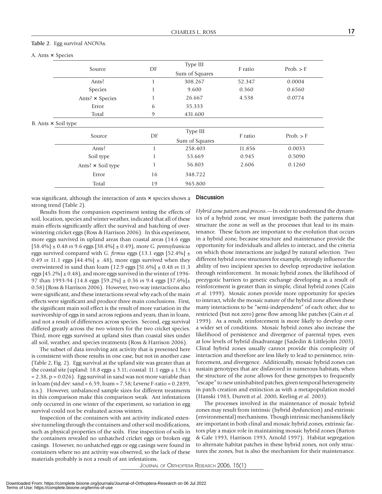#### **Table 2**. Egg survival ANOVAs.

A. Ants **×** Species

|                     | Source            | DF                      | Type III       | F ratio | Prob. > F |
|---------------------|-------------------|-------------------------|----------------|---------|-----------|
|                     |                   |                         | Sum of Squares |         |           |
|                     | Ants?             | $\mathbf{1}$<br>308.267 |                | 52.347  | 0.0004    |
|                     | Species           | $\pm$                   | 9.600          | 0.360   | 0.6560    |
|                     | Ants? × Species   | $\pm$                   | 26.667         | 4.538   | 0.0774    |
|                     | Error             | 6                       | 35.333         |         |           |
|                     | Total             | 9                       | 431.600        |         |           |
| B. Ants × Soil type |                   |                         |                |         |           |
|                     |                   | DF                      | Type III       |         | Prob. > F |
|                     | Source            |                         | Sum of Squares | F ratio |           |
|                     | Ants?             | 1                       | 258.403        | 11.856  | 0.0033    |
|                     | Soil type         | 1                       | 53.669         | 0.945   | 0.5090    |
|                     | Ants? × Soil type | $\mathbf{1}$            | 56.803         | 2.606   | 0.1260    |
|                     | Error             | 16                      | 348.722        |         |           |
|                     | Total             | 19                      | 965.800        |         |           |

was significant, although the interaction of ants **×** species shows a strong trend (Table 2).

 Results from the companion experiment testing the effects of soil, location, species and winter weather, indicated that all of these main effects significantly affect the survival and hatching of overwintering cricket eggs (Ross & Harrison 2006). In this experiment, more eggs survived in upland areas than coastal areas (14.6 eggs [58.4%] ± 0.48 *vs* 9.6 eggs [38.4%] ± 0.49), more *G. pennsylvanicus* eggs survived compared with *G. firmus* eggs (13.1 eggs [52.4%] ± 0.49 *vs* 11.1 eggs [44.4%] ± .48), more eggs survived when they overwintered in sand than loam (12.9 eggs [51.6%] ± 0.48 *vs* 11.3 eggs  $[45.2\%]\pm0.48$ ), and more eggs survived in the winter of 1996-97 than 1993-94 (14.8 eggs [59.2%] ± 0.36 *vs* 9.4 eggs [37.6%]± 0.58) (Ross & Harrison 2006). However, two-way interactions also were significant, and these interactions reveal why each of the main effects were significant and produce three main conclusions. First, the significant main soil effect is the result of more variation in the survivorship of eggs in sand across regions and years, than in loam, and not a result of differences across species. Second, egg survival differed greatly across the two winters for the two cricket species. Third, more eggs survived at upland sites than coastal sites under all soil, weather, and species treatments (Ross & Harrison 2006).

 The subset of data involving ant activity that is presented here is consistent with those results in one case, but not in another case (Table 2, Fig. 2). Egg survival at the upland site was greater than at the coastal site (upland:  $18.8$  eggs  $\pm$  3.11; coastal: 11.1 eggs  $\pm$  1.56; t  $= 2.38$ ,  $p = 0.026$ ). Egg survival in sand was not more variable than in loam (std dev: sand = 6.59, loam = 7.58; Levene F-ratio = 0.2899, n.s.). However, unbalanced sample sizes for different treatments in this comparison make this comparison weak. Ant infestations only occurred in one winter of the experiment, so variation in egg survival could not be evaluated across winters.

 Inspection of the containers with ant activity indicated extensive tunneling through the containers and other soil modifications, such as physical properties of the soils. Fine inspection of soils in the containers revealed no unhatched cricket eggs or broken egg casings. However, no unhatched eggs or egg casings were found in containers where no ant activity was observed, so the lack of these materials probably is not a result of ant infestations.

#### **Discussion**

*Hybrid zone pattern and process*.—In order to understand the dynamics of a hybrid zone, we must investigate both the patterns that structure the zone as well as the processes that lead to its maintenance. These factors are important to the evolution that occurs in a hybrid zone, because structure and maintenance provide the opportunity for individuals and alleles to interact, and the criteria on which those interactions are judged by natural selection. Two different hybrid zone structures for example, strongly influence the ability of two incipient species to develop reproductive isolation through reinforcement. In mosaic hybrid zones, the likelihood of prezygotic barriers to genetic exchange developing as a result of reinforcement is greater than in simple, clinal hybrid zones (Cain *et al.* 1999). Mosaic zones provide more opportunity for species to interact, while the mosaic nature of the hybrid zone allows these many interactions to be "semi-independent" of each other, due to restricted (but not zero) gene flow among like patches (Cain *et al.*  1999). As a result, reinforcement is more likely to develop over a wider set of conditions. Mosaic hybrid zones also increase the likelihood of persistence and divergence of parental types, even at low levels of hybrid disadvantage (Sadedin & Littlejohn 2003). Clinal hybrid zones usually cannot provide this complexity of interaction and therefore are less likely to lead to persistence, reinforcement, and divergence. Additionally, mosaic hybrid zones can sustain genotypes that are disfavored in numerous habitats, when the structure of the zone allows for these genotypes to frequently "escape" to new uninhabited patches, given temporal heterogeneity in patch creation and extinction as with a metapopulation model (Hanski 1983, Durrett *et al.* 2000, Keeling *et al.* 2003).

 The processes involved in the maintenance of mosaic hybrid zones may result from intrinsic (hybrid dysfunction) and extrinsic (environmental) mechanisms. Though intrinsic mechanisms likely are important in both clinal and mosaic hybrid zones, extrinsic factors play a major role in maintaining mosaic hybrid zones (Barton & Gale 1993, Harrison 1993, Arnold 1997). Habitat segregation to alternate habitat patches in these hybrid zones, not only structures the zones, but is also the mechanism for their maintenance.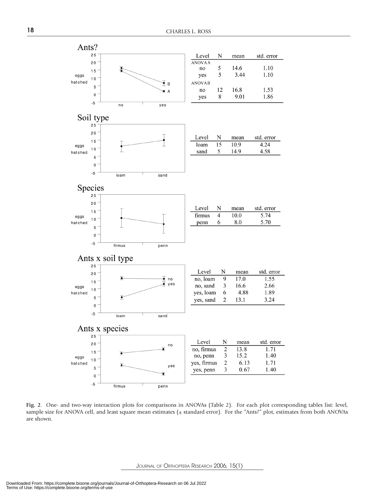

**Fig. 2**. One- and two-way interaction plots for comparisons in ANOVAs (Table 2). For each plot corresponding tables list: level, sample size for ANOVA cell, and least square mean estimates (± standard error). For the "Ants?" plot, estimates from both ANOVAs are shown.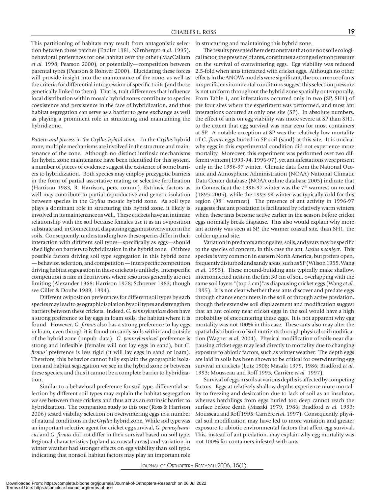This partitioning of habitats may result from antagonistic selection between these patches (Endler 1981, Nürnberger *et al.* 1995), behavioral preferences for one habitat over the other (MacCallum *et al.* 1998, Pearson 2000), or potentially—competition between parental types (Pearson & Rohwer 2000). Elucidating these forces will provide insight into the maintenance of the zone, as well as the criteria for differential introgression of specific traits (and those genetically linked to them). That is, trait differences that influence local distribution within mosaic hybrid zones contribute to species coexistence and persistence in the face of hybridization, and thus habitat segregation can serve as a barrier to gene exchange as well as playing a prominent role in structuring and maintaining the hybrid zone.

*Pattern and process in the Gryllus hybrid zone.*—In the *Gryllus* hybrid zone, multiple mechanisms are involved in the structure and maintenance of the zone. Although no distinct intrinsic mechanisms for hybrid zone maintenance have been identified for this system, a number of pieces of evidence suggest the existence of some barriers to hybridization. Both species may employ prezygotic barriers in the form of partial assortative mating or selective fertilization (Harrison 1983, R. Harrison, pers. comm.). Extrinsic factors as well may contribute to partial reproductive and genetic isolation between species in the *Gryllus* mosaic hybrid zone. As soil type plays a dominant role in structuring this hybrid zone, it likely is involved in its maintenance as well. These crickets have an intimate relationship with the soil because females use it as an oviposition substrate and, in Connecticut, diapausing eggs must overwinter in the soils. Consequently, understanding how these species differ in their interaction with different soil types—specifically as eggs—should shed light on barriers to hybridization in the hybrid zone. Of three possible factors driving soil type segregation in this hybrid zone — behavior, selection, and competition — interspecific competition driving habitat segregation in these crickets is unlikely. Interspecific competition is rare in detritivores where resources generally are not limiting (Alexander 1968; Harrison 1978; Schoener 1983; though see Giller & Doube 1989, 1994).

 Different oviposition preferences for different soil types by each species may lead to geographic isolation by soil types and strengthen barriers between these crickets. Indeed, *G. pennsylvanicus* does have a strong preference to lay eggs in loam soils, the habitat where it is found. However, *G. firmus* also has a strong preference to lay eggs in loam, even though it is found on sandy soils within and outside of the hybrid zone (unpub. data). *G. pennsylvanicus'* preference is strong and inflexible (females will not lay eggs in sand), but *G. firmus'* preference is less rigid (it will lay eggs in sand or loam). Therefore, this behavior cannot fully explain the geographic isolation and habitat segregation we see in the hybrid zone or between these species, and thus it cannot be a complete barrier to hybridization.

 Similar to a behavioral preference for soil type, differential selection by different soil types may explain the habitat segregation we see between these crickets and thus act as an extrinsic barrier to hybridization. The companion study to this one (Ross & Harrison 2006) tested viability selection on overwintering eggs in a number of natural conditions in the *Gryllus* hybrid zone. While soil type was an important selective agent for cricket egg survival, *G. pennsylvanicus* and *G. firmus* did not differ in their survival based on soil type. Regional characteristics (upland *vs* coastal areas) and variation in not 100% for containers infested with ants. winter weather had stronger effects on egg viability than soil type, indicating that nonsoil habitat factors may play an important role

in structuring and maintaining this hybrid zone.

 The results presented here demonstrate that one nonsoil ecological factor, the presence of ants, constitutes a strong selection pressure on the survival of overwintering eggs. Egg viability was reduced 2.5-fold when ants interacted with cricket eggs. Although no other effects in the ANOVA models were significant, the occurrence of ants in specific environmental conditions suggest this selection pressure is not uniform throughout the hybrid zone spatially or temporally. From Table 1, ant infestations occurred only in two (SP, SH1) of the four sites where the experiment was performed, and most ant interactions occurred at only one site (SP). In absolute numbers, the effect of ants on egg viability was more severe at SP than SH1, to the extent that egg survival was near zero for most containers at SP. A notable exception at SP was the relatively low mortality of *G. firmus* eggs buried in SP soil (sand) at this site. It is unclear why eggs in this experimental condition did not experience more mortality. Moreover, this experiment was performed over two different winters (1993-94, 1996-97), yet ant infestations were present only in the 1996-97 winter. Climate data from the National Oceanic and Atmospheric Administration (NOAA) National Climatic Data Center database (NOAA online database 2005) indicate that in Connecticut the 1996-97 winter was the  $7<sup>th</sup>$  warmest on record (1895-2005), while the 1993-94 winter was typically cold for this region (98<sup>th</sup> warmest). The presence of ant activity in 1996-97 suggests that ant predation is facilitated by relatively warm winters when these ants become active earlier in the season before cricket eggs normally break diapause. This also would explain why more ant activity was seen at SP, the warmer coastal site, than SH1, the colder upland site.

 Variation in predators among sites, soils, and years may be specific to the species of concern, in this case the ant, *Lasius neoniger*. This species is very common in eastern North America, but prefers open, frequently disturbed and sandy areas, such as SP (Wilson 1955, Wang *et al.* 1995). These mound-building ants typically make shallow, interconnected nests in the first 30 cm of soil, overlapping with the same soil layers "(top 2 cm)"as diapausing cricket eggs (Wang *et al.*  1995). It is not clear whether these ants discover and predate eggs through chance encounters in the soil or through active predation, though their extensive soil displacement and modification suggest that an ant colony near cricket eggs in the soil would have a high probability of encountering these eggs. It is not apparent why egg mortality was not 100% in this case. These ants also may alter the spatial distribution of soil nutrients through physical soil modification (Wagner *et al.* 2004). Physical modification of soils near diapausing cricket eggs may lead directly to mortality due to changing exposure to abiotic factors, such as winter weather. The depth eggs are laid in soils has been shown to be critical for overwintering egg survival in crickets (Lutz 1908; Masaki 1979, 1986; Bradford *et al.*  1993; Mousseau and Roff 1995; Carrière *et al.* 1997).

 Survival of eggs in soils at various depths is affected by competing factors. Eggs at relatively shallow depths experience more mortality to freezing and desiccation due to lack of soil as an insulator, whereas hatchlings from eggs buried too deep cannot reach the surface before death (Masaki 1979, 1986; Bradford *et al.* 1993; Mousseau and Roff 1995; Carrière *et al.* 1997). Consequently, physical soil modification may have led to more variation and greater exposure to abiotic environmental factors that affect egg survival. This, instead of ant predation, may explain why egg mortality was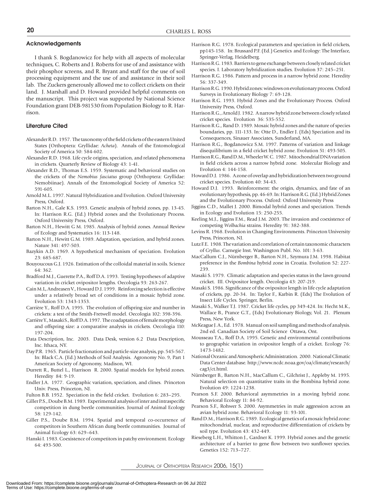#### Acknowledgements

I thank S. Bogdanowicz for help with all aspects of molecular techniques, C. Roberts and J. Roberts for use of and assistance with their phosphor screens, and R. Bryant and staff for the use of soil processing equipment and the use of and assistance in their soil lab. The Zuckers generously allowed me to collect crickets on their land. J. Marshall and D. Howard provided helpful comments on the manuscript. This project was supported by National Science Foundation grant DEB-981530 from Population Biology to R. Harrison.

#### Literature Cited

- Alexander R.D. 1957. The taxonomy of the field crickets of the eastern United States (Orthoptera: Gryllidae: *Acheta*). Annals of the Entomological Society of America 50: 584-602.
- Alexander R.D. 1968. Life cycle origins, speciation, and related phenomena in crickets. Quarterly Review of Biology 43: 1-41.
- Alexander R.D., Thomas E.S. 1959. Systematic and behavioral studies on the crickets of the *Nemobius fasciatus* group (Orthoptera: Gryllidae: Nemobiinae). Annals of the Entomological Society of America 52: 591-605.
- Arnold M.L. 1997. Natural Hybridization and Evolution. Oxford University Press, Oxford.
- Barton N.H., Gale K.S. 1993. Genetic analysis of hybrid zones, pp. 13-45. In: Harrison R.G. (Ed.) Hybrid zones and the Evolutionary Process. Oxford University Press, Oxford.
- Barton N.H., Hewitt G M. 1985. Analysis of hybrid zones. Annual Review of Ecology and Systematics 16: 113-148.
- Barton N.H., Hewitt G.M. 1989. Adaptation, speciation, and hybrid zones. Nature 341: 497-503.
- Bazykin A.D. 1969. A hypothetical mechanism of speciation. Evolution 23: 685-687.
- Bouyoucous G.J. 1926. Estimation of the colloidal material in soils. Science 64: 362.
- Bradford M.J., Guerette P.A., Roff D.A. 1993. Testing hypotheses of adaptive variation in cricket ovipositor lengths. Oecologia 93: 263-267.
- Cain M.L, Andreasen V., Howard D.J. 1999. Reinforcing selection is effective under a relatively broad set of conditions in a mosaic hybrid zone. Evolution 53: 1343-1353.
- Carrière Y., Roff D.A. 1995. The evolution of offspring size and number in crickets: a test of the Smith-Fretwell model. Oecologia 102: 398-396.
- Carrière Y., Masaki S., Roff D.A. 1997. The coadaptation of female morphology and offspring size: a comparative analysis in crickets. Oecologia 110: 197-204.
- Data Description, Inc. 2003. Data Desk, version 6.2 Data Description, Inc. Ithaca, NY.
- Day P.R. 1965. Particle fractionation and particle-size analysis, pp. 545-567. In: Black C.A. (Ed.) Methods of Soil Analysis. Agronomy No. 9, Part 1 American Society of Agronomy, Madison, WI.
- Durrett R., Buttel L., Harrison R. 2000. Spatial models for hybrid zones. Heredity 84: 9-19.
- Endler J.A. 1977. Geographic variation, speciation, and clines. Princeton Univ. Press, Princeton, NJ.
- Fulton B.B. 1952. Speciation in the field cricket. Evolution 6: 283–295.
- Giller P.S., Doube B.M. 1989. Experimental analysis of inter and intraspecific competition in dung beetle communities. Journal of Animal Ecology  $58:129-142$
- Giller P.S., Doube B.M. 1994. Spatial and temporal co-occurrence of competitors in Southern African dung beetle communities. Journal of Animal Ecology 63: 629–643.
- Hanski I. 1983. Coexistence of competitors in patchy environment. Ecology 64: 493-500.
- Harrison R.G. 1978. Ecological parameters and speciation in field crickets, pp145-158. In: Brussard P.F. (Ed.) Genetics and Ecology: The Interface, Springer-Verlag, Heidelberg.
- Harrison R.G. 1983. Barriers to gene exchange between closely related cricket species. I. Laboratory hybridization studies. Evolution 37: 245–251.
- Harrison R.G. 1986. Pattern and process in a narrow hybrid zone. Heredity 56: 337-349.
- Harrison R.G. 1990. Hybrid zones: windows on evolutionary process. Oxford Surveys in Evolutionary Biology 7: 69-128.
- Harrison R.G. 1993. Hybrid Zones and the Evolutionary Process. Oxford University Press, Oxford.
- Harrison R.G., Arnold J. 1982. A narrow hybrid zone between closely related cricket species. Evolution 36: 535-552.
- Harrison R.G., Rand D. 1989. Mosaic hybrid zones and the nature of species boundaries, pp. 111-133. In: Otte D., Endler J. (Eds) Speciation and its Consequences, Sinauer Associates, Sunderland, MA.
- Harrison R.G., Bogdanowicz S.M. 1997. Patterns of variation and linkage disequilibrium in a field cricket hybrid zone. Evolution 51: 493-505.
- Harrison R.G., Rand D.M., Wheeler W. C. 1987. Mitochondrial DNA variation in field crickets across a narrow hybrid zone. Molecular Biology and Evolution 4: 144-158.
- Howard D.J. 1986. A zone of overlap and hybridization between two ground cricket species. Evolution 40: 34-43.
- Howard D.J. 1993. Reinforcement: the origin, dynamics, and fate of an evolutionary hypothesis, pp. 46-69. In: Harrison R.G. (Ed.) Hybrid Zones and the Evolutionary Process. Oxford: Oxford University Press
- Jiggins C.D., Mallet J. 2000. Bimodal hybrid zones and speciation. Trends in Ecology and Evolution 15: 250-255.
- Keeling M.J., Jiggins F.M., Read J.M. 2003. The invasion and coexistence of competing *Wolbachia* strains. Heredity 91: 382-388.
- Levins R. 1968. Evolution in Changing Environments. Princeton University Press, Princeton, NJ.
- Lutz F.E. 1908. The variation and correlation of certain taxonomic characters of *Gryllus*. Carnegie Inst. Washington Publ. No. 101: 3-63.
- MacCallum C.J., Nürnberger B., Barton N.H., Szymura J.M. 1998. Habitat preference in the *Bombina* hybrid zone in Croatia. Evolution 52: 227- 239.
- Masaki S. 1979. Climatic adaptation and species status in the lawn ground cricket. III. Ovipositor length. Oecologia 43: 207-219.
- Masaki S. 1986. Significance of the ovipositor length in life cycle adaptation of crickets, pp. 20-34. In: Taylor F., Karbin R. (Eds) The Evolution of Insect Life Cycles. Springer, Berlin.
- Masaki S., Walker T.J. 1987. Cricket life cycles, pp 349-424. In: Hecht M.K., Wallace B., Prance G.T., (Eds) Evolutionary Biology, Vol. 21. Plenum Press, New York.
- McKeague J. A., Ed. 1978. Manual on soil sampling and methods of analysis. 2nd ed. Canadian Society of Soil Science Ottawa, Ont.
- Mousseau T.A., Roff D.A. 1995. Genetic and environmental contributions to geographic variation in ovipositor length of a cricket. Ecology 76: 1473-1482.
- National Oceanic and Atmospheric Administration. 2000. National Climatic Data Center database. http://www.ncdc.noaa.gov/oa/climate/research/ cag3/ct.html.
- Nürnberger B., Barton N.H., MacCallum C., Gilchrist J., Appleby M. 1995. Natural selection on quantitative traits in the Bombina hybrid zone. Evolution 49: 1224-1238.
- Pearson S.F. 2000. Behavioral asymmetries in a moving hybrid zone. Behavioral Ecology 11: 84-92.
- Pearson S.F., Rohwer S. 2000. Asymmetries in male aggression across an avian hybrid zone. Behavioral Ecology 11: 93-101.
- Rand D.M., Harrison R.G. 1989. Ecological genetics of a mosaic hybrid zone: mitochondrial, nuclear, and reproductive differentiation of crickets by soil type. Evolution 43: 432-449.
- Rieseberg L.H., Whitton J., Gardner K. 1999. Hybrid zones and the genetic architecture of a barrier to gene flow between two sunflower species. Genetics 152: 713–727.